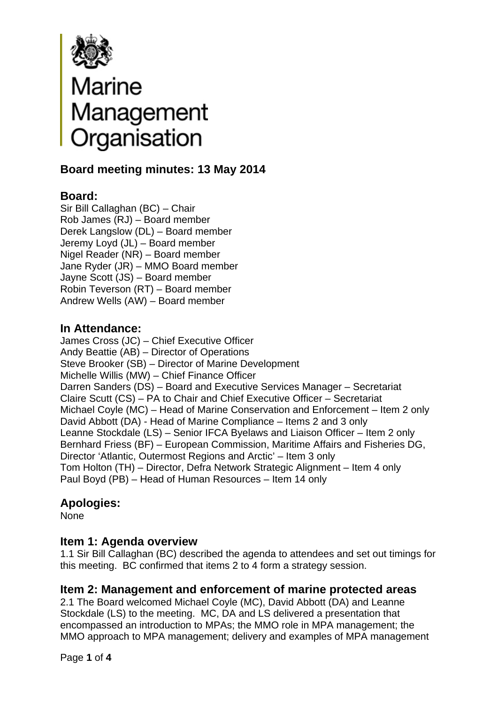

# **Board Marine<br>
Management<br>
Drganisation<br>
Board meeting minutes: 13 May 2014**

# **Board:**

Sir Bill Callaghan (BC) – Chair Rob James (RJ) – Board member Derek Langslow (DL) – Board member Jeremy Loyd (JL) – Board member Nigel Reader (NR) – Board member Jane Ryder (JR) – MMO Board member Jayne Scott (JS) – Board member Robin Teverson (RT) – Board member Andrew Wells (AW) – Board member

# **In Attendance:**

James Cross (JC) – Chief Executive Officer Andy Beattie (AB) – Director of Operations Steve Brooker (SB) – Director of Marine Development Michelle Willis (MW) – Chief Finance Officer Darren Sanders (DS) – Board and Executive Services Manager – Secretariat Claire Scutt (CS) – PA to Chair and Chief Executive Officer – Secretariat Michael Coyle (MC) – Head of Marine Conservation and Enforcement – Item 2 only David Abbott (DA) - Head of Marine Compliance – Items 2 and 3 only Leanne Stockdale (LS) – Senior IFCA Byelaws and Liaison Officer – Item 2 only Bernhard Friess (BF) – European Commission, Maritime Affairs and Fisheries DG, Director 'Atlantic, Outermost Regions and Arctic' – Item 3 only Tom Holton (TH) – Director, Defra Network Strategic Alignment – Item 4 only Paul Boyd (PB) – Head of Human Resources – Item 14 only

# **Apologies:**

None

# **Item 1: Agenda overview**

1.1 Sir Bill Callaghan (BC) described the agenda to attendees and set out timings for this meeting. BC confirmed that items 2 to 4 form a strategy session.

# **Item 2: Management and enforcement of marine protected areas**

2.1 The Board welcomed Michael Coyle (MC), David Abbott (DA) and Leanne Stockdale (LS) to the meeting. MC, DA and LS delivered a presentation that encompassed an introduction to MPAs; the MMO role in MPA management; the MMO approach to MPA management; delivery and examples of MPA management

Page **1** of **4**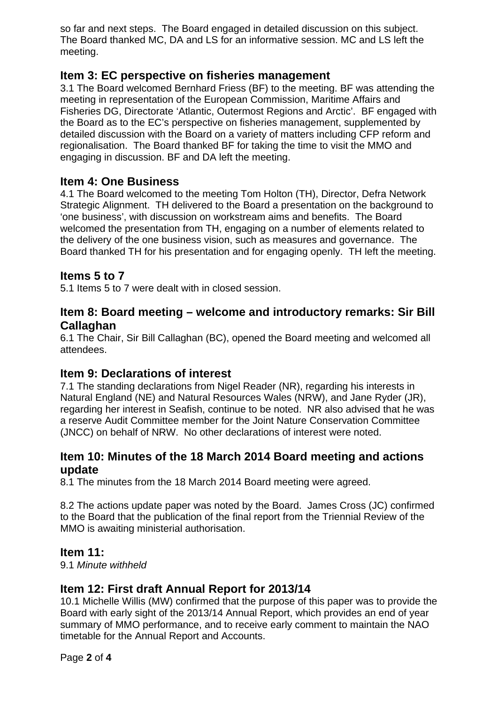so far and next steps. The Board engaged in detailed discussion on this subject. The Board thanked MC, DA and LS for an informative session. MC and LS left the meeting.

# **Item 3: EC perspective on fisheries management**

3.1 The Board welcomed Bernhard Friess (BF) to the meeting. BF was attending the meeting in representation of the European Commission, Maritime Affairs and Fisheries DG, Directorate 'Atlantic, Outermost Regions and Arctic'. BF engaged with the Board as to the EC's perspective on fisheries management, supplemented by detailed discussion with the Board on a variety of matters including CFP reform and regionalisation. The Board thanked BF for taking the time to visit the MMO and engaging in discussion. BF and DA left the meeting.

# **Item 4: One Business**

4.1 The Board welcomed to the meeting Tom Holton (TH), Director, Defra Network Strategic Alignment. TH delivered to the Board a presentation on the background to 'one business', with discussion on workstream aims and benefits. The Board welcomed the presentation from TH, engaging on a number of elements related to the delivery of the one business vision, such as measures and governance. The Board thanked TH for his presentation and for engaging openly. TH left the meeting.

# **Items 5 to 7**

5.1 Items 5 to 7 were dealt with in closed session.

#### **Item 8: Board meeting – welcome and introductory remarks: Sir Bill Callaghan**

6.1 The Chair, Sir Bill Callaghan (BC), opened the Board meeting and welcomed all attendees.

# **Item 9: Declarations of interest**

7.1 The standing declarations from Nigel Reader (NR), regarding his interests in Natural England (NE) and Natural Resources Wales (NRW), and Jane Ryder (JR), regarding her interest in Seafish, continue to be noted. NR also advised that he was a reserve Audit Committee member for the Joint Nature Conservation Committee (JNCC) on behalf of NRW. No other declarations of interest were noted.

#### **Item 10: Minutes of the 18 March 2014 Board meeting and actions update**

8.1 The minutes from the 18 March 2014 Board meeting were agreed.

8.2 The actions update paper was noted by the Board. James Cross (JC) confirmed to the Board that the publication of the final report from the Triennial Review of the MMO is awaiting ministerial authorisation.

#### **Item 11:**

9.1 *Minute withheld*

# **Item 12: First draft Annual Report for 2013/14**

10.1 Michelle Willis (MW) confirmed that the purpose of this paper was to provide the Board with early sight of the 2013/14 Annual Report, which provides an end of year summary of MMO performance, and to receive early comment to maintain the NAO timetable for the Annual Report and Accounts.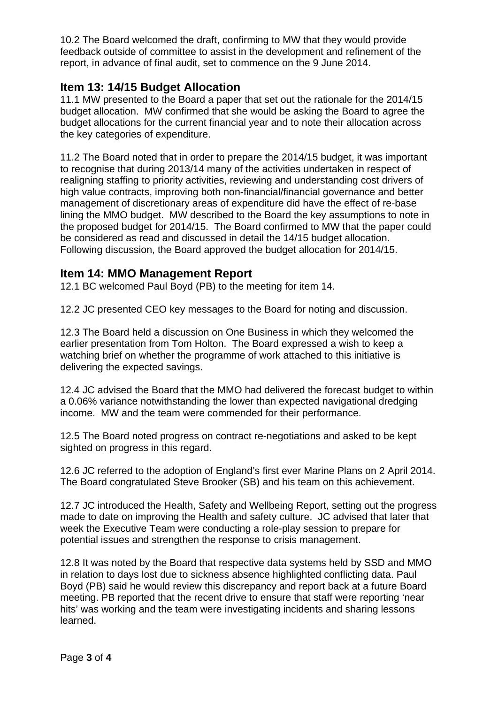10.2 The Board welcomed the draft, confirming to MW that they would provide feedback outside of committee to assist in the development and refinement of the report, in advance of final audit, set to commence on the 9 June 2014.

# **Item 13: 14/15 Budget Allocation**

11.1 MW presented to the Board a paper that set out the rationale for the 2014/15 budget allocation. MW confirmed that she would be asking the Board to agree the budget allocations for the current financial year and to note their allocation across the key categories of expenditure.

11.2 The Board noted that in order to prepare the 2014/15 budget, it was important to recognise that during 2013/14 many of the activities undertaken in respect of realigning staffing to priority activities, reviewing and understanding cost drivers of high value contracts, improving both non-financial/financial governance and better management of discretionary areas of expenditure did have the effect of re-base lining the MMO budget. MW described to the Board the key assumptions to note in the proposed budget for 2014/15. The Board confirmed to MW that the paper could be considered as read and discussed in detail the 14/15 budget allocation. Following discussion, the Board approved the budget allocation for 2014/15.

#### **Item 14: MMO Management Report**

12.1 BC welcomed Paul Boyd (PB) to the meeting for item 14.

12.2 JC presented CEO key messages to the Board for noting and discussion.

12.3 The Board held a discussion on One Business in which they welcomed the earlier presentation from Tom Holton. The Board expressed a wish to keep a watching brief on whether the programme of work attached to this initiative is delivering the expected savings.

12.4 JC advised the Board that the MMO had delivered the forecast budget to within a 0.06% variance notwithstanding the lower than expected navigational dredging income. MW and the team were commended for their performance.

12.5 The Board noted progress on contract re-negotiations and asked to be kept sighted on progress in this regard.

12.6 JC referred to the adoption of England's first ever Marine Plans on 2 April 2014. The Board congratulated Steve Brooker (SB) and his team on this achievement.

12.7 JC introduced the Health, Safety and Wellbeing Report, setting out the progress made to date on improving the Health and safety culture. JC advised that later that week the Executive Team were conducting a role-play session to prepare for potential issues and strengthen the response to crisis management.

12.8 It was noted by the Board that respective data systems held by SSD and MMO in relation to days lost due to sickness absence highlighted conflicting data. Paul Boyd (PB) said he would review this discrepancy and report back at a future Board meeting. PB reported that the recent drive to ensure that staff were reporting 'near hits' was working and the team were investigating incidents and sharing lessons learned.